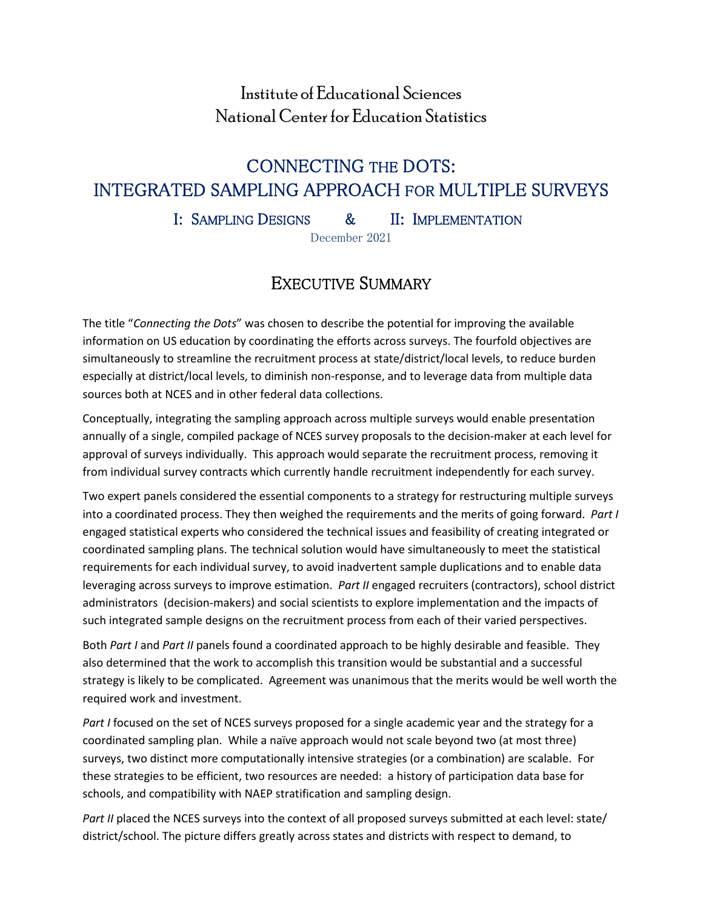# Institute of Educational Sciences National Center for Education Statistics

# CONNECTING THE DOTS: INTEGRATED SAMPLING APPROACH FOR MULTIPLE SURVEYS

I: SAMPLING DESIGNS & II: IMPLEMENTATION

December 2021

# EXECUTIVE SUMMARY

The title "*Connecting the Dots*" was chosen to describe the potential for improving the available information on US education by coordinating the efforts across surveys. The fourfold objectives are simultaneously to streamline the recruitment process at state/district/local levels, to reduce burden especially at district/local levels, to diminish non-response, and to leverage data from multiple data sources both at NCES and in other federal data collections.

Conceptually, integrating the sampling approach across multiple surveys would enable presentation annually of a single, compiled package of NCES survey proposals to the decision-maker at each level for approval of surveys individually. This approach would separate the recruitment process, removing it from individual survey contracts which currently handle recruitment independently for each survey.

Two expert panels considered the essential components to a strategy for restructuring multiple surveys into a coordinated process. They then weighed the requirements and the merits of going forward. *Part I* engaged statistical experts who considered the technical issues and feasibility of creating integrated or coordinated sampling plans. The technical solution would have simultaneously to meet the statistical requirements for each individual survey, to avoid inadvertent sample duplications and to enable data leveraging across surveys to improve estimation. *Part II* engaged recruiters (contractors), school district administrators (decision-makers) and social scientists to explore implementation and the impacts of such integrated sample designs on the recruitment process from each of their varied perspectives.

Both *Part I* and *Part II* panels found a coordinated approach to be highly desirable and feasible. They also determined that the work to accomplish this transition would be substantial and a successful strategy is likely to be complicated. Agreement was unanimous that the merits would be well worth the required work and investment.

*Part I* focused on the set of NCES surveys proposed for a single academic year and the strategy for a coordinated sampling plan. While a naïve approach would not scale beyond two (at most three) surveys, two distinct more computationally intensive strategies (or a combination) are scalable. For these strategies to be efficient, two resources are needed: a history of participation data base for schools, and compatibility with NAEP stratification and sampling design.

*Part II* placed the NCES surveys into the context of all proposed surveys submitted at each level: state/ district/school. The picture differs greatly across states and districts with respect to demand, to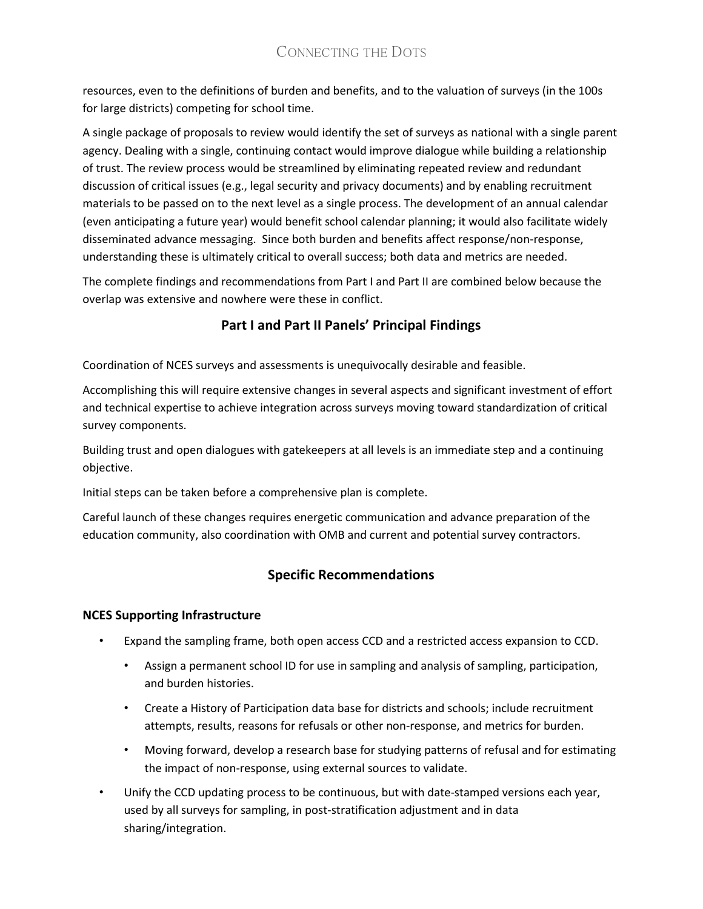# CONNECTING THE DOTS

resources, even to the definitions of burden and benefits, and to the valuation of surveys (in the 100s for large districts) competing for school time.

A single package of proposals to review would identify the set of surveys as national with a single parent agency. Dealing with a single, continuing contact would improve dialogue while building a relationship of trust. The review process would be streamlined by eliminating repeated review and redundant discussion of critical issues (e.g., legal security and privacy documents) and by enabling recruitment materials to be passed on to the next level as a single process. The development of an annual calendar (even anticipating a future year) would benefit school calendar planning; it would also facilitate widely disseminated advance messaging. Since both burden and benefits affect response/non-response, understanding these is ultimately critical to overall success; both data and metrics are needed.

The complete findings and recommendations from Part I and Part II are combined below because the overlap was extensive and nowhere were these in conflict.

# **Part I and Part II Panels' Principal Findings**

Coordination of NCES surveys and assessments is unequivocally desirable and feasible.

Accomplishing this will require extensive changes in several aspects and significant investment of effort and technical expertise to achieve integration across surveys moving toward standardization of critical survey components.

Building trust and open dialogues with gatekeepers at all levels is an immediate step and a continuing objective.

Initial steps can be taken before a comprehensive plan is complete.

Careful launch of these changes requires energetic communication and advance preparation of the education community, also coordination with OMB and current and potential survey contractors.

# **Specific Recommendations**

## **NCES Supporting Infrastructure**

- Expand the sampling frame, both open access CCD and a restricted access expansion to CCD.
	- Assign a permanent school ID for use in sampling and analysis of sampling, participation, and burden histories.
	- Create a History of Participation data base for districts and schools; include recruitment attempts, results, reasons for refusals or other non-response, and metrics for burden.
	- Moving forward, develop a research base for studying patterns of refusal and for estimating the impact of non-response, using external sources to validate.
- Unify the CCD updating process to be continuous, but with date-stamped versions each year, used by all surveys for sampling, in post-stratification adjustment and in data sharing/integration.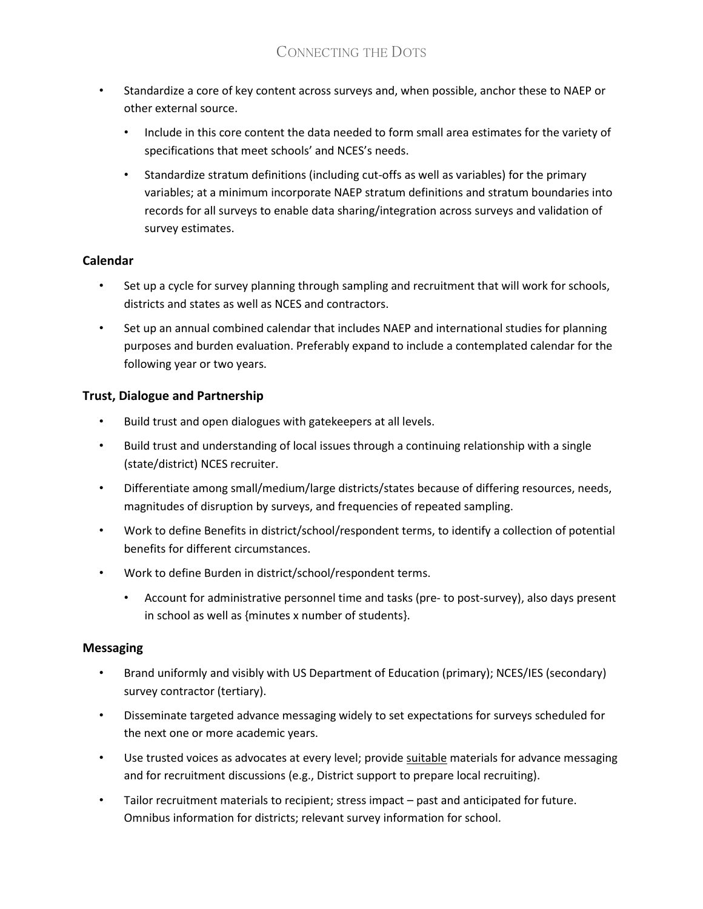- Standardize a core of key content across surveys and, when possible, anchor these to NAEP or other external source.
	- Include in this core content the data needed to form small area estimates for the variety of specifications that meet schools' and NCES's needs.
	- Standardize stratum definitions (including cut-offs as well as variables) for the primary variables; at a minimum incorporate NAEP stratum definitions and stratum boundaries into records for all surveys to enable data sharing/integration across surveys and validation of survey estimates.

## **Calendar**

- Set up a cycle for survey planning through sampling and recruitment that will work for schools, districts and states as well as NCES and contractors.
- Set up an annual combined calendar that includes NAEP and international studies for planning purposes and burden evaluation. Preferably expand to include a contemplated calendar for the following year or two years.

## **Trust, Dialogue and Partnership**

- Build trust and open dialogues with gatekeepers at all levels.
- Build trust and understanding of local issues through a continuing relationship with a single (state/district) NCES recruiter.
- Differentiate among small/medium/large districts/states because of differing resources, needs, magnitudes of disruption by surveys, and frequencies of repeated sampling.
- Work to define Benefits in district/school/respondent terms, to identify a collection of potential benefits for different circumstances.
- Work to define Burden in district/school/respondent terms.
	- Account for administrative personnel time and tasks (pre- to post-survey), also days present in school as well as {minutes x number of students}.

## **Messaging**

- Brand uniformly and visibly with US Department of Education (primary); NCES/IES (secondary) survey contractor (tertiary).
- Disseminate targeted advance messaging widely to set expectations for surveys scheduled for the next one or more academic years.
- Use trusted voices as advocates at every level; provide suitable materials for advance messaging and for recruitment discussions (e.g., District support to prepare local recruiting).
- Tailor recruitment materials to recipient; stress impact past and anticipated for future. Omnibus information for districts; relevant survey information for school.